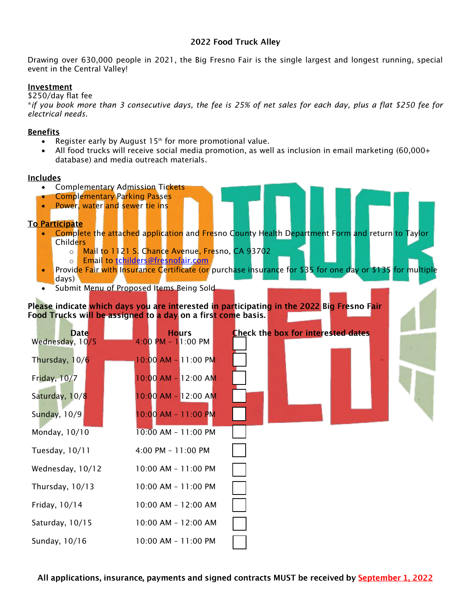## 2022 Food Truck Alley

Drawing over 630,000 people in 2021, the Big Fresno Fair is the single largest and longest running, special event in the Central Valley!

### Investment

\$250/day flat fee

\**if you book more than 3 consecutive days, the fee is 25% of net sales for each day, plus a flat \$250 fee for electrical needs.*

## **Benefits**

- Register early by August  $15<sup>th</sup>$  for more promotional value.
- All food trucks will receive social media promotion, as well as inclusion in email marketing (60,000+ database) and media outreach materials.

### <u>Includes</u>

- Complementary Admission Tickets
- Complementary Parking Passes
- Power, water and sewer tie ins

# **To Participate**

- Complete the attached application and Fresno County Health Department Form and return to Taylor Childers
	- o Mail to 1121 S. Chance Avenue, Fresno, CA 93702
	- o Email to [tchilders@fresnofair.com](mailto:tchilders@fresnofair.com)
- Provide Fair with Insurance Certificate (or purchase insurance for \$35 for one day or \$135 for multiple days)
- Submit Menu of Proposed Items Being Sold

Please indicate which days you are interested in participating in the 2022 Big Fresno Fair Food Trucks will be assigned to a day on a first come basis.